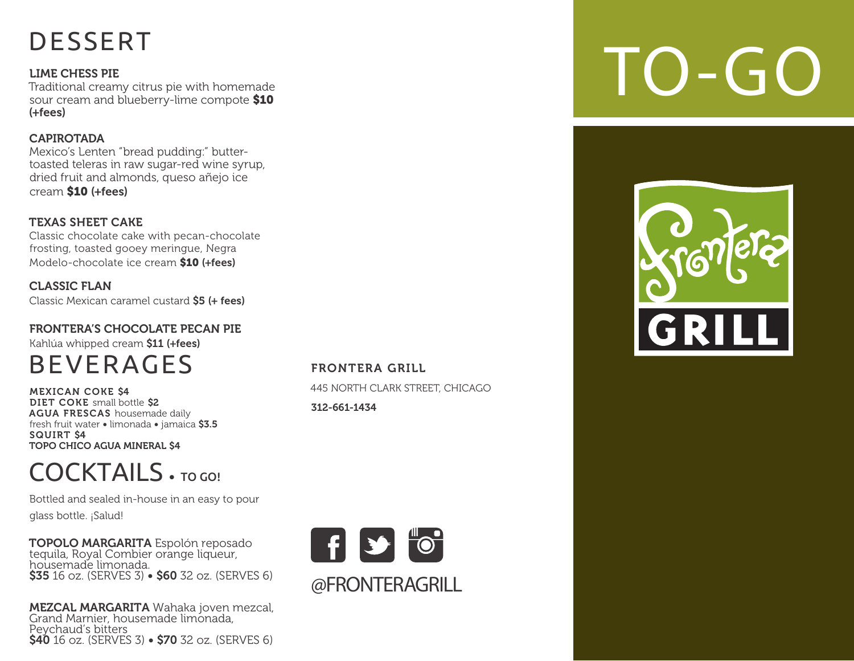# DESSERT

LIME CHESS PIE Traditional creamy citrus pie with homemade sour cream and blueberry-lime compote \$10 (+fees)

## CAPIROTADA

Mexico's Lenten "bread pudding:" buttertoasted teleras in raw sugar-red wine syrup, dried fruit and almonds, queso añejo ice cream \$10 (+fees)

## TEXAS SHEET CAKE

Classic chocolate cake with pecan-chocolate frosting, toasted gooey meringue, Negra Modelo-chocolate ice cream \$10 (+fees)

CLASSIC FLAN Classic Mexican caramel custard \$5 (+ fees)

# FRONTERA'S CHOCOLATE PECAN PIE

Kahlúa whipped cream \$11 (+fees)

# **BEVERAGES**

MEXICAN COKE \$4 DIET COKE small bottle \$2 AGUA FRESCAS housemade daily fresh fruit water • limonada • jamaica \$3.5 SQUIRT \$4 TOPO CHICO AGUA MINERAL \$4

# COCKTAILS · TO GO!

Bottled and sealed in-house in an easy to pour glass bottle. ¡Salud!

TOPOLO MARGARITA Espolón reposado tequila, Royal Combier orange liqueur, housemade limonada. \$35 16 oz. (SERVES 3) • \$60 32 oz. (SERVES 6)

MEZCAL MARGARITA Wahaka joven mezcal, Grand Marnier, housemade limonada, Peychaud's bitters \$40 16 oz. (SERVES 3) • \$70 32 oz. (SERVES 6)

FRONTERA GRILL 445 NORTH CLARK STREET, CHICAGO 312-661-1434



# TO-GO